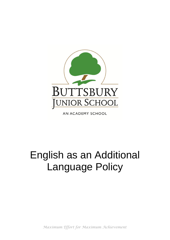

AN ACADEMY SCHOOL

# English as an Additional Language Policy

*Maximum Effort for Maximum Achievement*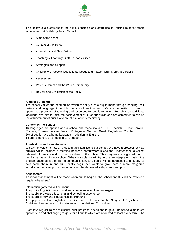

This policy is a statement of the aims, principles and strategies for raising minority ethnic achievement at Buttsbury Junior School.

- Aims of the school
- Context of the School
- Admissions and New Arrivals
- Teaching & Learning: Staff Responsibilities
- Strategies and Support
- Children with Special Educational Needs and Academically More Able Pupils
- Assessment
- Parents/Carers and the Wider Community
- Review and Evaluation of the Policy

#### **Aims of our school**

The school values the contribution which minority ethnic pupils make through bringing their culture and language to enrich the school environment. We are committed to making appropriate provision of teaching and resources for pupils for whom English is an additional language. We aim to raise the achievement of all of our pupils and are committed to raising the achievement of pupils who are at risk of underachieving.

## **Context of the School**

16 languages are spoken at our school and these include Urdu, Spanish, Turkish, Arabic, Chinese, Russian, Latvian, French, Portuguese, German, Greek, English and Yoruba. 6% of pupils have a home language in addition to English. 1 pupil is identified as needing EAL support.

## **Admissions and New Arrivals**

We aim to welcome new arrivals and their families to our school. We have a protocol for new arrivals which includes a meeting between parents/carers and the Headteacher to collect relevant information and to introduce them to the school. This may involve a guided tour to familiarise them with our school. When possible we will try to use an interpreter if using the English language is a barrier to communication. EAL pupils will be introduced to a 'buddy' to help settle them in and will usually begin mid week to give them a more staggered introduction. Any support arrangements will be discussed with parents and pupil.

#### **Assessment**

An initial assessment will be made when pupils begin at the school and this will be reviewed regularly by all staff.

Information gathered will be about -

The pupils' linguistic background and competence in other languages

- The pupils' previous educational and schooling experience
- The pupils' family and biographical background

The pupils' level of English is identified with reference to the Stages of English as an Additional Language and with reference to the National Curriculum.

Staff have regular liaison to discuss pupil progress, needs and targets. The school aims to set appropriate and challenging targets for all pupils which are reviewed at least every term. The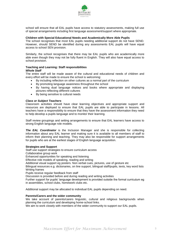

school will ensure that all EAL pupils have access to statutory assessments, making full use of special arrangements including first language assessment/support where appropriate.

## **Children with Special Educational Needs and Academically More Able Pupils**

The school recognises that most EAL pupils needing additional support do not have SEND. However, should SEND be identified during any assessments EAL pupils will have equal access to school SEN provision.

Similarly, the school recognises that there may be EAL pupils who are academically more able even though they may not be fully fluent in English. They will also have equal access to school provision.

#### **Teaching and Learning: Staff responsibilities** *Whole Staff*

The entire staff will be made aware of the cultural and educational needs of children and every effort will be made to ensure the school is welcoming:

- By including reflection on other cultures as a normal part of the curriculum
- By promoting language awareness throughout the school
- By having dual language notices and books where appropriate and displaying pictures reflecting different cultures
- By being sensitive to cultural needs

## *Class or Subject Teachers*

Classroom activities should have clear learning objectives and appropriate support and resources are deployed to ensure that EAL pupils are able to participate in lessons. All teachers have a responsibility to ensure that they have the assessment information they need to help develop a pupils language and to monitor their learning.

Staff review groupings and setting arrangements to ensure that EAL learners have access to strong English language role models.

*The EAL Coordinator* is the Inclusion Manager and she is responsible for collecting information about any EAL learner and making sure it is available to all members of staff to inform their planning and teaching. They may also be responsible for support arrangements for pupils who are at the earliest stages of English language acquisition.

## **Strategies and Support**

Staff use support strategies to ensure curriculum access

Collaborative group work

Enhanced opportunities for speaking and listening

Effective role models of speaking, reading and writing

Additional visual support eg posters. Non verbal cues, pictures, use of gesture etc

Bilingual resources e.g. dictionaries, on line support, bilingual staff/pupils, texts, key word lists Writing frames

Pupils receive regular feedback from staff

Discussion is provided before and during reading and writing activities

Further support for pupils' language development is provided outside the formal curriculum eg in assemblies, school clubs, homework clubs etc.

Additional support may be allocated to individual EAL pupils depending on need.

## **Parents/Carers and the wider community**

We take account of parents/carers linguistic, cultural and religious backgrounds when planning the curriculum and developing home-school links.

We aim to work closely with members of the wider community to support our EAL pupils.